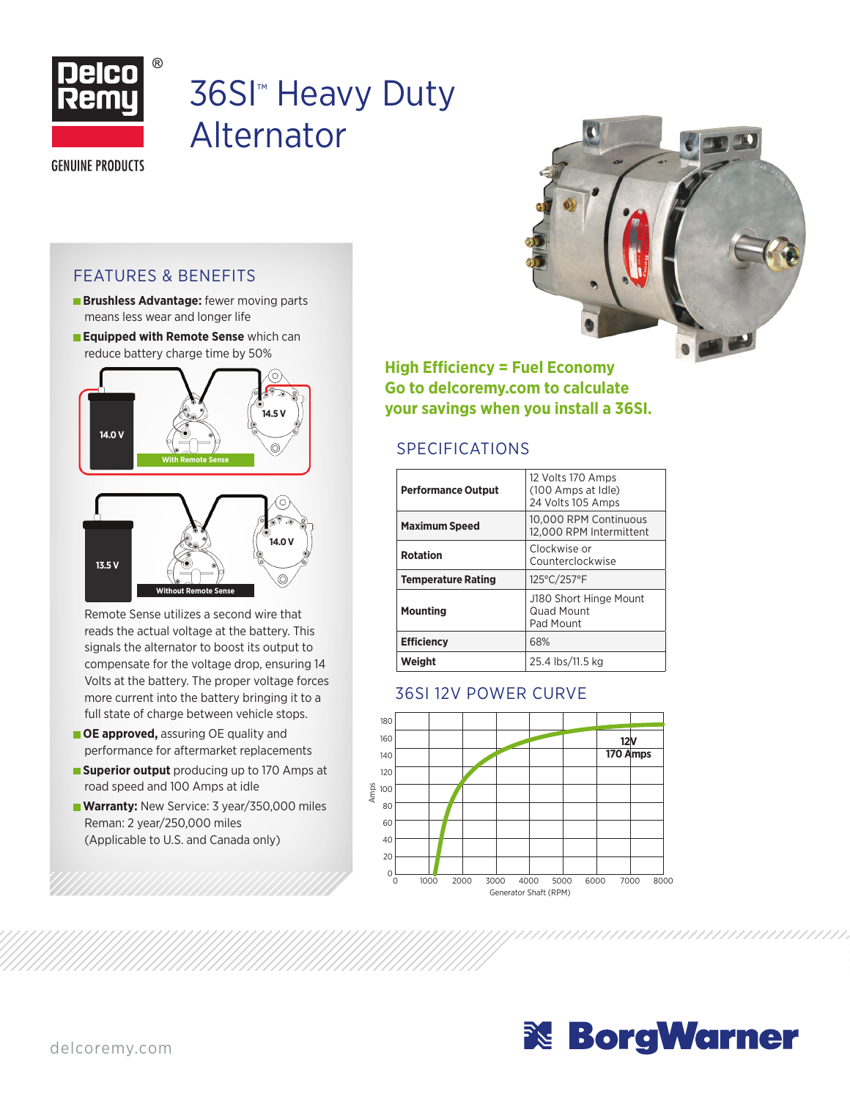

# 36SI™ Heavy Duty Alternator

**GENUINE PRODUCTS** 

#### FEATURES & BENEFITS

- **Brushless Advantage:** fewer moving parts means less wear and longer life
- **Equipped with Remote Sense** which can reduce battery charge time by 50%



Remote Sense utilizes a second wire that reads the actual voltage at the battery. This signals the alternator to boost its output to compensate for the voltage drop, ensuring 14 Volts at the battery. The proper voltage forces more current into the battery bringing it to a full state of charge between vehicle stops.

- **OE approved, assuring OE quality and** performance for aftermarket replacements
- **Superior output** producing up to 170 Amps at road speed and 100 Amps at idle
- **Warranty: New Service: 3 year/350,000 miles** Reman: 2 year/250,000 miles (Applicable to U.S. and Canada only)



**High Efficiency = Fuel Economy Go to delcoremy.com to calculate your savings when you install a 36SI.**

### SPECIFICATIONS

| <b>Performance Output</b> | 12 Volts 170 Amps<br>(100 Amps at Idle)<br>24 Volts 105 Amps |  |  |  |  |
|---------------------------|--------------------------------------------------------------|--|--|--|--|
| <b>Maximum Speed</b>      | 10.000 RPM Continuous<br>12,000 RPM Intermittent             |  |  |  |  |
| <b>Rotation</b>           | Clockwise or<br>Counterclockwise                             |  |  |  |  |
| <b>Temperature Rating</b> | 125°C/257°F                                                  |  |  |  |  |
| <b>Mounting</b>           | J180 Short Hinge Mount<br>Quad Mount<br>Pad Mount            |  |  |  |  |
| <b>Efficiency</b>         | 68%                                                          |  |  |  |  |
| Weiaht                    | 25.4 lbs/11.5 kg                                             |  |  |  |  |

#### 36SI 12V POWER CURVE